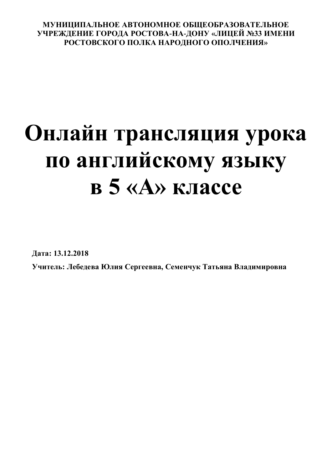## **МУНИЦИПАЛЬНОЕ АВТОНОМНОЕ ОБЩЕОБРАЗОВАТЕЛЬНОЕ УЧРЕЖДЕНИЕ ГОРОДА РОСТОВА-НА-ДОНУ «ЛИЦЕЙ №33 ИМЕНИ РОСТОВСКОГО ПОЛКА НАРОДНОГО ОПОЛЧЕНИЯ»**

# **Онлайн трансляция урока по английскому языку в 5 «А» классе**

**Дата: 13.12.2018**

**Учитель: Лебедева Юлия Сергеевна, Семенчук Татьяна Владимировна**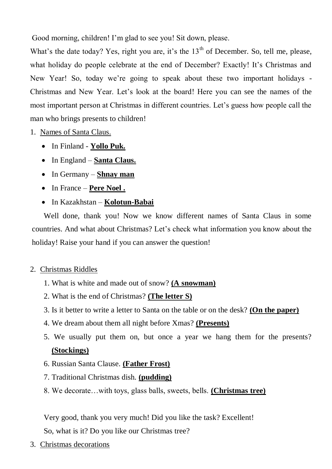Good morning, children! I'm glad to see you! Sit down, please.

What's the date today? Yes, right you are, it's the  $13<sup>th</sup>$  of December. So, tell me, please, what holiday do people celebrate at the end of December? Exactly! It's Christmas and New Year! So, today we're going to speak about these two important holidays - Christmas and New Year. Let's look at the board! Here you can see the names of the most important person at Christmas in different countries. Let's guess how people call the man who brings presents to children!

1. Names of Santa Claus.

- In Finland **Yollo Puk.**
- In England **Santa Claus.**
- In Germany **Shnay man**
- In France **Pere Noel .**
- In Kazakhstan **Kolotun-Babai**

Well done, thank you! Now we know different names of Santa Claus in some countries. And what about Christmas? Let's check what information you know about the holiday! Raise your hand if you can answer the question!

## 2. Christmas Riddles

- 1. What is white and made out of snow? **(A snowman)**
- 2. What is the end of Christmas? **(The letter S)**
- 3. Is it better to write a letter to Santa on the table or on the desk? **(On the paper)**
- 4. We dream about them all night before Xmas? **(Presents)**
- 5. We usually put them on, but once a year we hang them for the presents? **(Stockings)**
- 6. Russian Santa Clause. **(Father Frost)**
- 7. Traditional Christmas dish. **(pudding)**
- 8. We decorate…with toys, glass balls, sweets, bells. **(Christmas tree)**

Very good, thank you very much! Did you like the task? Excellent! So, what is it? Do you like our Christmas tree?

3. Christmas decorations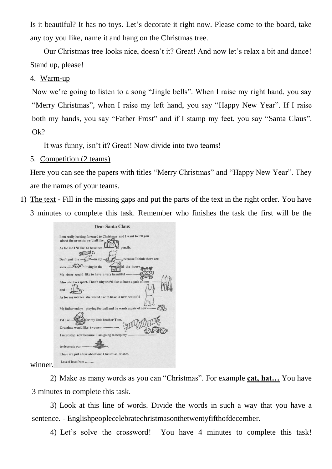Is it beautiful? It has no toys. Let's decorate it right now. Please come to the board, take any toy you like, name it and hang on the Christmas tree.

Our Christmas tree looks nice, doesn't it? Great! And now let's relax a bit and dance! Stand up, please!

#### 4. Warm-up

Now we're going to listen to a song "Jingle bells". When I raise my right hand, you say "Merry Christmas", when I raise my left hand, you say "Happy New Year". If I raise both my hands, you say "Father Frost" and if I stamp my feet, you say "Santa Claus". Ok?

It was funny, isn't it? Great! Now divide into two teams!

### 5. Competition (2 teams)

Here you can see the papers with titles "Merry Christmas" and "Happy New Year". They are the names of your teams.

1) The text - Fill in the missing gaps and put the parts of the text in the right order. You have 3 minutes to complete this task. Remember who finishes the task the first will be the

|      | Dear Santa Claus                                                                                                                                    |
|------|-----------------------------------------------------------------------------------------------------------------------------------------------------|
|      | I am really looking forward to Christmas and I want to tell you<br>about the presents we'd all like.<br>pencils.<br>As for me I 'd like to have two |
|      | because I think there are<br>Don't put the $-m \rightarrow m$<br>some $\frac{C_{L2}}{L2}$<br>of the house.                                          |
|      | Ħ<br>My sister would like to have a very beautiful ----------<br>Also she likes sport. That's why she'd like to have a pair of new                  |
|      | $and$ $-$<br>As for my mother she would like to have a new beautiful ----                                                                           |
|      | My father enjoys playing football and he wants a pair of new -----<br>for my little brother Tom.                                                    |
|      | T'd like ---<br>Grandma would like two new --------<br>I must stop now because I am going to help my -------                                        |
|      | to decorate our -----                                                                                                                               |
| ier. | These are just a few about our Christmas wishes.<br>Lots of love from                                                                               |
|      |                                                                                                                                                     |

winn

2) Make as many words as you can "Christmas". For example **cat, hat…** You have 3 minutes to complete this task.

3) Look at this line of words. Divide the words in such a way that you have a sentence. - Englishpeoplecelebratechristmasonthetwentyfifthofdecember.

4) Let's solve the crossword! You have 4 minutes to complete this task!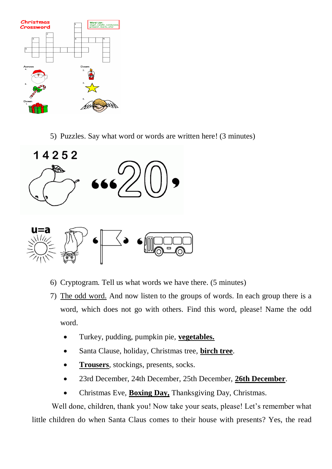

5) Puzzles. Say what word or words are written here! (3 minutes)



- 6) Cryptogram. Tell us what words we have there. (5 minutes)
- 7) The odd word. And now listen to the groups of words. In each group there is a word, which does not go with others. Find this word, please! Name the odd word.
	- Turkey, pudding, pumpkin pie, **vegetables.**
	- Santa Clause, holiday, Christmas tree, **birch tree**.
	- **Trousers**, stockings, presents, socks.
	- 23rd December, 24th December, 25th December, **26th December**.
	- Christmas Eve, **Boxing Day,** Thanksgiving Day, Christmas.

Well done, children, thank you! Now take your seats, please! Let's remember what little children do when Santa Claus comes to their house with presents? Yes, the read